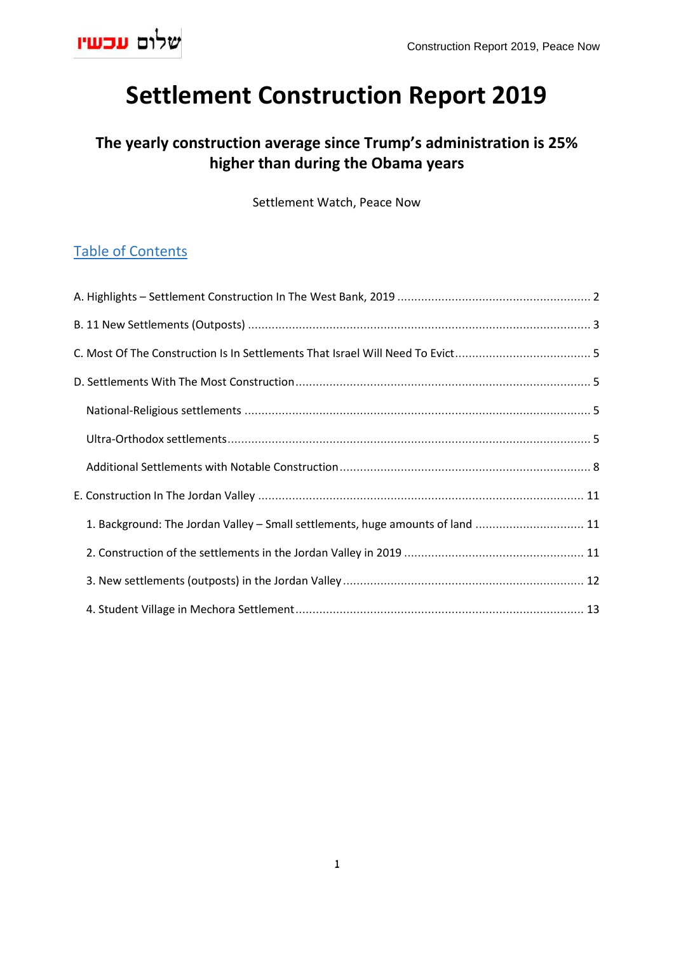

# **Settlement Construction Report 2019**

# **The yearly construction average since Trump's administration is 25% higher than during the Obama years**

Settlement Watch, Peace Now

# Table of Contents

<span id="page-0-0"></span>

| 1. Background: The Jordan Valley - Small settlements, huge amounts of land  11 |  |
|--------------------------------------------------------------------------------|--|
|                                                                                |  |
|                                                                                |  |
|                                                                                |  |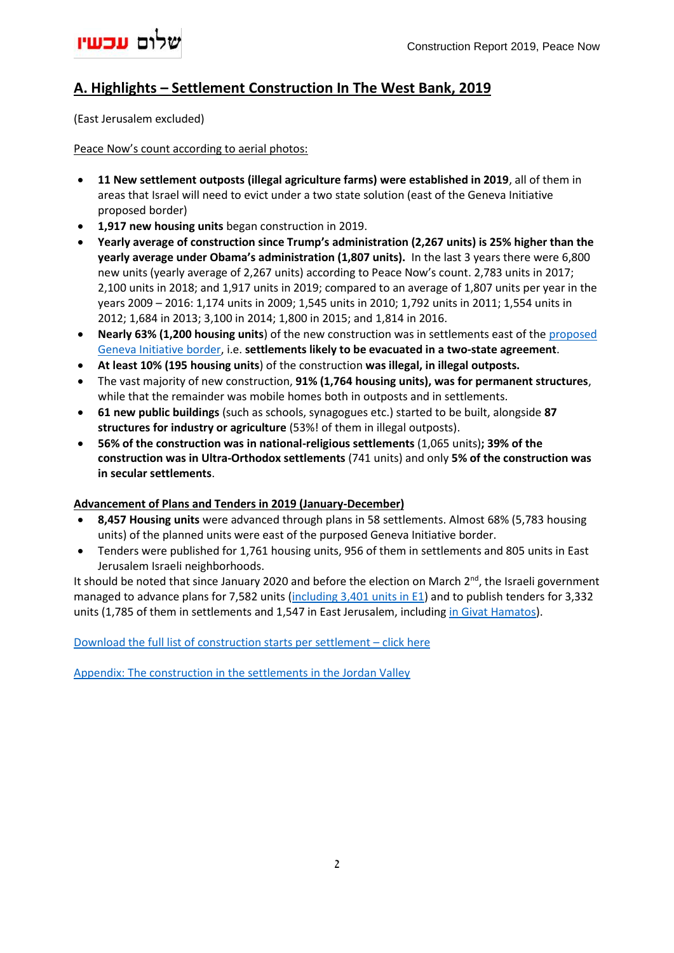

## **A. Highlights – Settlement Construction In The West Bank, 2019**

(East Jerusalem excluded)

Peace Now's count according to aerial photos:

- **11 New settlement outposts (illegal agriculture farms) were established in 2019**, all of them in areas that Israel will need to evict under a two state solution (east of the Geneva Initiative proposed border)
- **1,917 new housing units** began construction in 2019.
- **Yearly average of construction since Trump's administration (2,267 units) is 25% higher than the yearly average under Obama's administration (1,807 units).** In the last 3 years there were 6,800 new units (yearly average of 2,267 units) according to Peace Now's count. 2,783 units in 2017; 2,100 units in 2018; and 1,917 units in 2019; compared to an average of 1,807 units per year in the years 2009 – 2016: 1,174 units in 2009; 1,545 units in 2010; 1,792 units in 2011; 1,554 units in 2012; 1,684 in 2013; 3,100 in 2014; 1,800 in 2015; and 1,814 in 2016.
- **Nearly 63% (1,200 housing units**) of the new construction was in settlements east of the [proposed](http://www.geneva-accord.org/)  [Geneva Initiative border,](http://www.geneva-accord.org/) i.e. **settlements likely to be evacuated in a two-state agreement**.
- **At least 10% (195 housing units**) of the construction **was illegal, in illegal outposts.**
- The vast majority of new construction, **91% (1,764 housing units), was for permanent structures**, while that the remainder was mobile homes both in outposts and in settlements.
- **61 new public buildings** (such as schools, synagogues etc.) started to be built, alongside **87 structures for industry or agriculture** (53%! of them in illegal outposts).
- **56% of the construction was in national-religious settlements** (1,065 units)**; 39% of the construction was in Ultra-Orthodox settlements** (741 units) and only **5% of the construction was in secular settlements**.

#### **Advancement of Plans and Tenders in 2019 (January-December)**

- **8,457 Housing units** were advanced through plans in 58 settlements. Almost 68% (5,783 housing units) of the planned units were east of the purposed Geneva Initiative border.
- Tenders were published for 1,761 housing units, 956 of them in settlements and 805 units in East Jerusalem Israeli neighborhoods.

It should be noted that since January 2020 and before the election on March  $2^{nd}$ , the Israeli government managed to advance plans for 7,582 units [\(including 3,401 units in E1\)](https://peacenow.org.il/en/netanyahu-promotes-the-construction-in-e1) and to publish tenders for 3,332 units (1,785 of them in settlements and 1,547 in East Jerusalem, including [in Givat Hamatos\)](https://peacenow.org.il/en/construction-in-givat-hamatos-a-lethal-blow-to-the-prospect-of-peace).

Download the full list of [construction starts per settlement](http://peacenow.org.il/wp-content/uploads/2020/03/Construction_starts_2019_List.xlsx) – click here

[Appendix: The construction in the settlements in the Jordan Valley](http://peacenow.org.il/en/construction-in-jordan-valley-2019)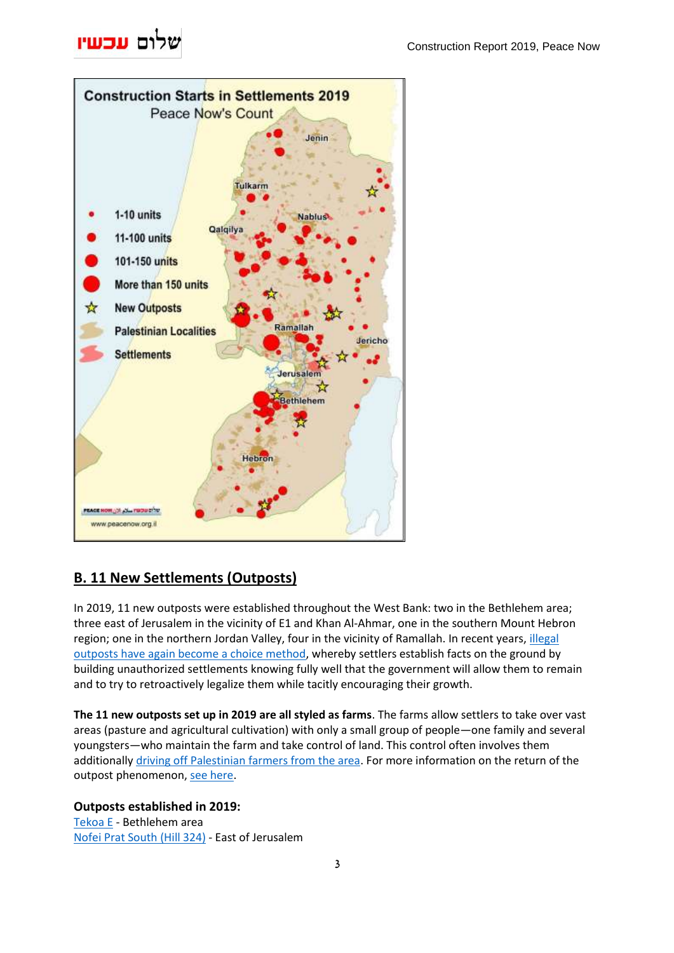# שלום עכשיו



# <span id="page-2-0"></span>**B. 11 New Settlements (Outposts)**

In 2019, 11 new outposts were established throughout the West Bank: two in the Bethlehem area; three east of Jerusalem in the vicinity of E1 and Khan Al-Ahmar, one in the southern Mount Hebron region; one in the northern Jordan Valley, four in the vicinity of Ramallah. In recent years[, illegal](https://peacenow.org.il/en/return-of-the-outpost-method)  [outposts have again become a choice method,](https://peacenow.org.il/en/return-of-the-outpost-method) whereby settlers establish facts on the ground by building unauthorized settlements knowing fully well that the government will allow them to remain and to try to retroactively legalize them while tacitly encouraging their growth.

**The 11 new outposts set up in 2019 are all styled as farms**. The farms allow settlers to take over vast areas (pasture and agricultural cultivation) with only a small group of people—one family and several youngsters—who maintain the farm and take control of land. This control often involves them additionally driving off [Palestinian farmers from the area.](https://tv.social.org.il/en/activists-in-the-jordan-valley) For more information on the return of the outpost phenomenon, [see here.](https://peacenow.org.il/en/return-of-the-outpost-method)

## **Outposts established in 2019:**

[Tekoa E](https://peacenow.org.il/en/settlements/settlement1094-en) - Bethlehem area [Nofei Prat South \(Hill 324\)](https://peacenow.org.il/en/settlements/settlement1101-en) - East of Jerusalem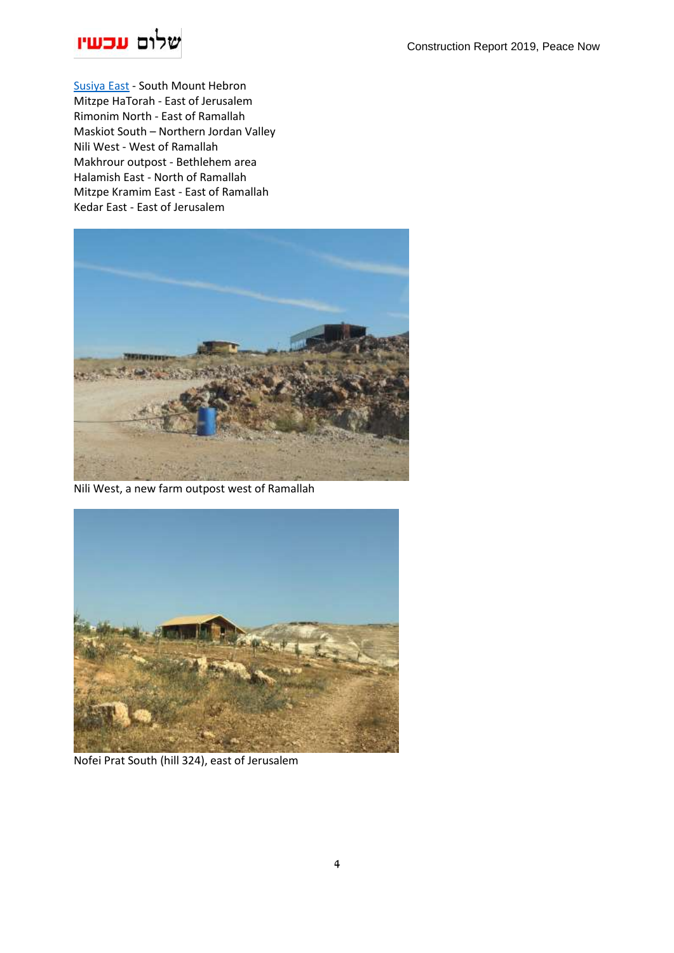

[Susiya East](https://peacenow.org.il/en/settlements/settlement1102-en) - South Mount Hebron Mitzpe HaTorah - East of Jerusalem Rimonim North - East of Ramallah Maskiot South – Northern Jordan Valley Nili West - West of Ramallah Makhrour outpost - Bethlehem area Halamish East - North of Ramallah Mitzpe Kramim East - East of Ramallah Kedar East - East of Jerusalem



Nili West, a new farm outpost west of Ramallah



Nofei Prat South (hill 324), east of Jerusalem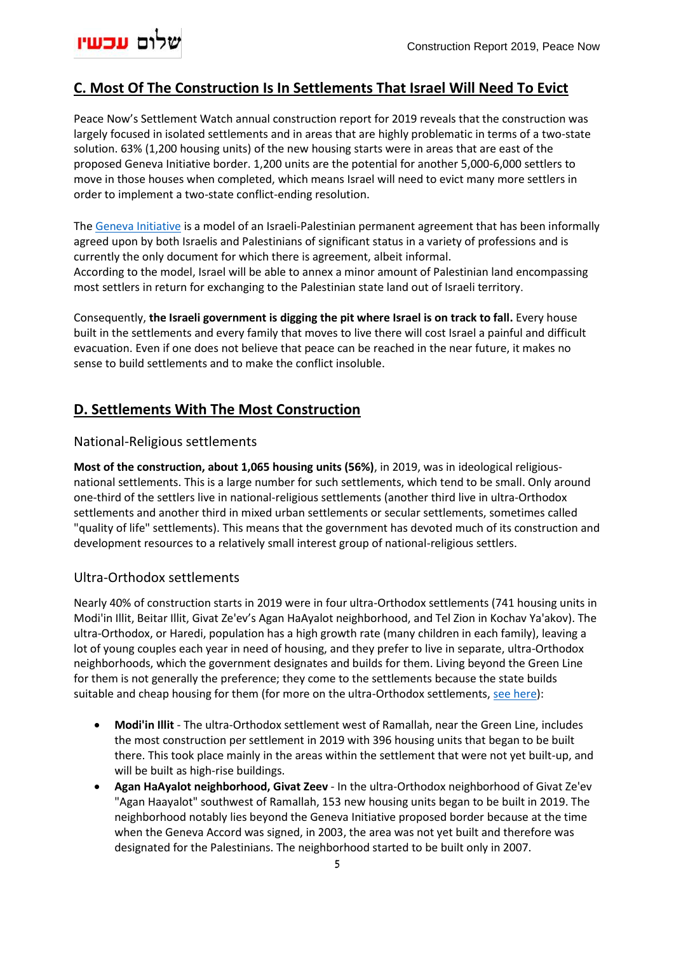

## <span id="page-4-0"></span>**C. Most Of The Construction Is In Settlements That Israel Will Need To Evict**

Peace Now's Settlement Watch annual construction report for 2019 reveals that the construction was largely focused in isolated settlements and in areas that are highly problematic in terms of a two-state solution. 63% (1,200 housing units) of the new housing starts were in areas that are east of the proposed Geneva Initiative border. 1,200 units are the potential for another 5,000-6,000 settlers to move in those houses when completed, which means Israel will need to evict many more settlers in order to implement a two-state conflict-ending resolution.

The [Geneva Initiative](https://geneva-accord.org/geneva-maps/) is a model of an Israeli-Palestinian permanent agreement that has been informally agreed upon by both Israelis and Palestinians of significant status in a variety of professions and is currently the only document for which there is agreement, albeit informal. According to the model, Israel will be able to annex a minor amount of Palestinian land encompassing most settlers in return for exchanging to the Palestinian state land out of Israeli territory .

Consequently, **the Israeli government is digging the pit where Israel is on track to fall.** Every house built in the settlements and every family that moves to live there will cost Israel a painful and difficult evacuation. Even if one does not believe that peace can be reached in the near future, it makes no sense to build settlements and to make the conflict insoluble.

### <span id="page-4-1"></span>**D. Settlements With The Most Construction**

#### <span id="page-4-2"></span>National-Religious settlements

**Most of the construction, about 1,065 housing units (56%)**, in 2019, was in ideological religiousnational settlements. This is a large number for such settlements, which tend to be small. Only around one-third of the settlers live in national-religious settlements (another third live in ultra-Orthodox settlements and another third in mixed urban settlements or secular settlements, sometimes called "quality of life" settlements). This means that the government has devoted much of its construction and development resources to a relatively small interest group of national-religious settlers.

#### <span id="page-4-3"></span>Ultra-Orthodox settlements

Nearly 40% of construction starts in 2019 were in four ultra-Orthodox settlements (741 housing units in Modi'in Illit, Beitar Illit, Givat Ze'ev's Agan HaAyalot neighborhood, and Tel Zion in Kochav Ya'akov). The ultra-Orthodox, or Haredi, population has a high growth rate (many children in each family), leaving a lot of young couples each year in need of housing, and they prefer to live in separate, ultra-Orthodox neighborhoods, which the government designates and builds for them. Living beyond the Green Line for them is not generally the preference; they come to the settlements because the state builds suitable and cheap housing for them (for more on the ultra-Orthodox settlements, [see here\)](https://peacenow.org/entry.php?id=10147#.XmT_W3Iza70):

- **Modi'in Illit** The ultra-Orthodox settlement west of Ramallah, near the Green Line, includes the most construction per settlement in 2019 with 396 housing units that began to be built there. This took place mainly in the areas within the settlement that were not yet built-up, and will be built as high-rise buildings.
- **Agan HaAyalot neighborhood, Givat Zeev** In the ultra-Orthodox neighborhood of Givat Ze'ev "Agan Haayalot" southwest of Ramallah, 153 new housing units began to be built in 2019. The neighborhood notably lies beyond the Geneva Initiative proposed border because at the time when the Geneva Accord was signed, in 2003, the area was not yet built and therefore was designated for the Palestinians. The neighborhood started to be built only in 2007.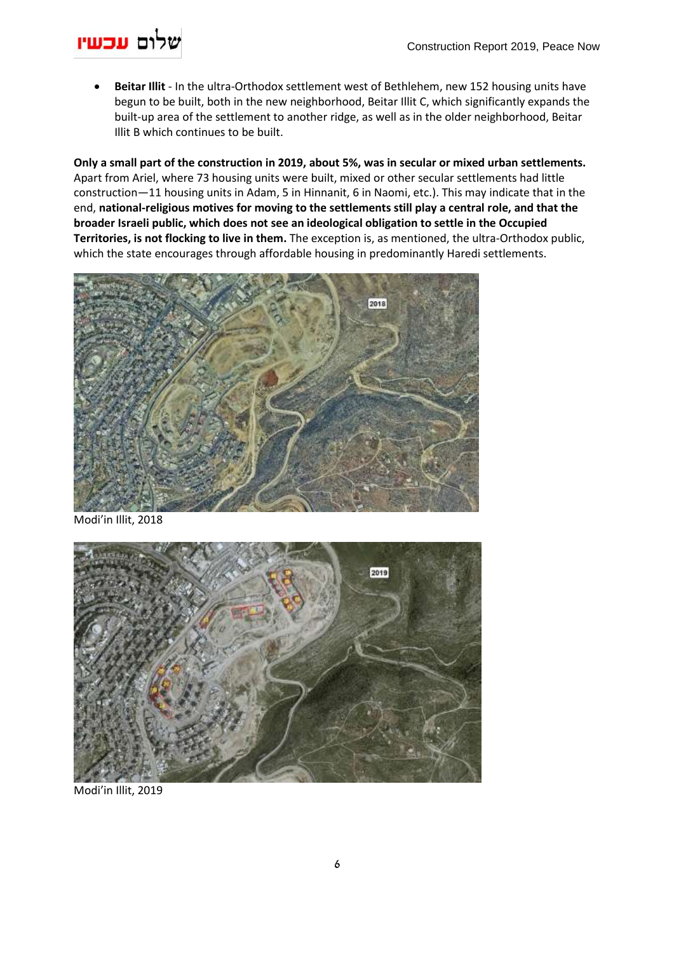# שלום עכשיו

• **Beitar Illit** - In the ultra-Orthodox settlement west of Bethlehem, new 152 housing units have begun to be built, both in the new neighborhood, Beitar Illit C, which significantly expands the built-up area of the settlement to another ridge, as well as in the older neighborhood, Beitar Illit B which continues to be built.

**Only a small part of the construction in 2019, about 5%, was in secular or mixed urban settlements.** Apart from Ariel, where 73 housing units were built, mixed or other secular settlements had little construction—11 housing units in Adam, 5 in Hinnanit, 6 in Naomi, etc.). This may indicate that in the end, **national-religious motives for moving to the settlements still play a central role, and that the broader Israeli public, which does not see an ideological obligation to settle in the Occupied Territories, is not flocking to live in them.** The exception is, as mentioned, the ultra-Orthodox public, which the state encourages through affordable housing in predominantly Haredi settlements.



Modi'in Illit, 2018



Modi'in Illit, 2019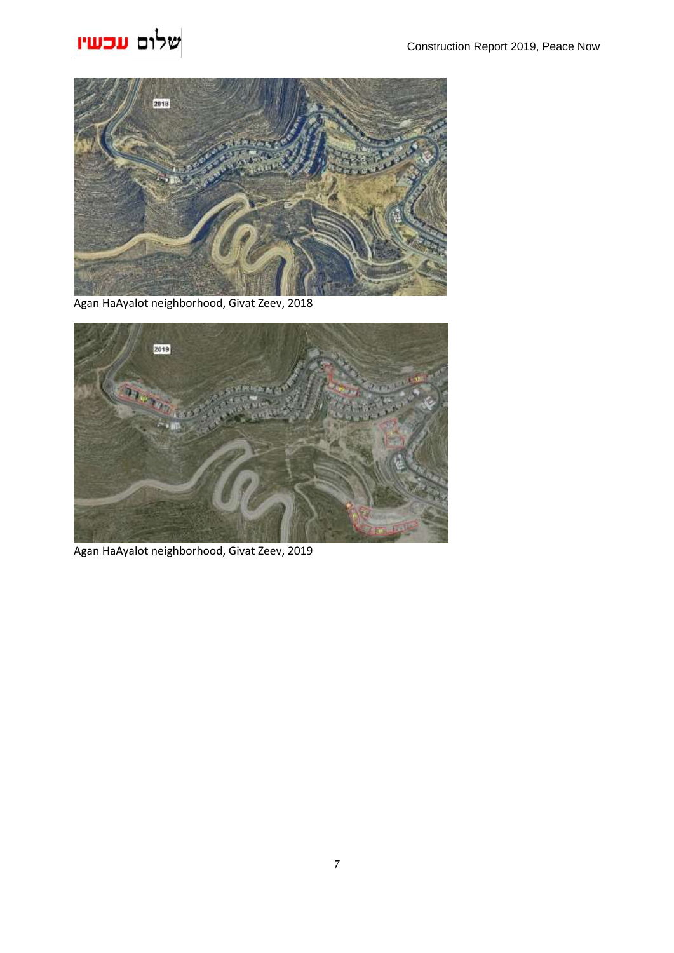# שלום עכשיו



Agan HaAyalot neighborhood, Givat Zeev, 2018



Agan HaAyalot neighborhood, Givat Zeev, 2019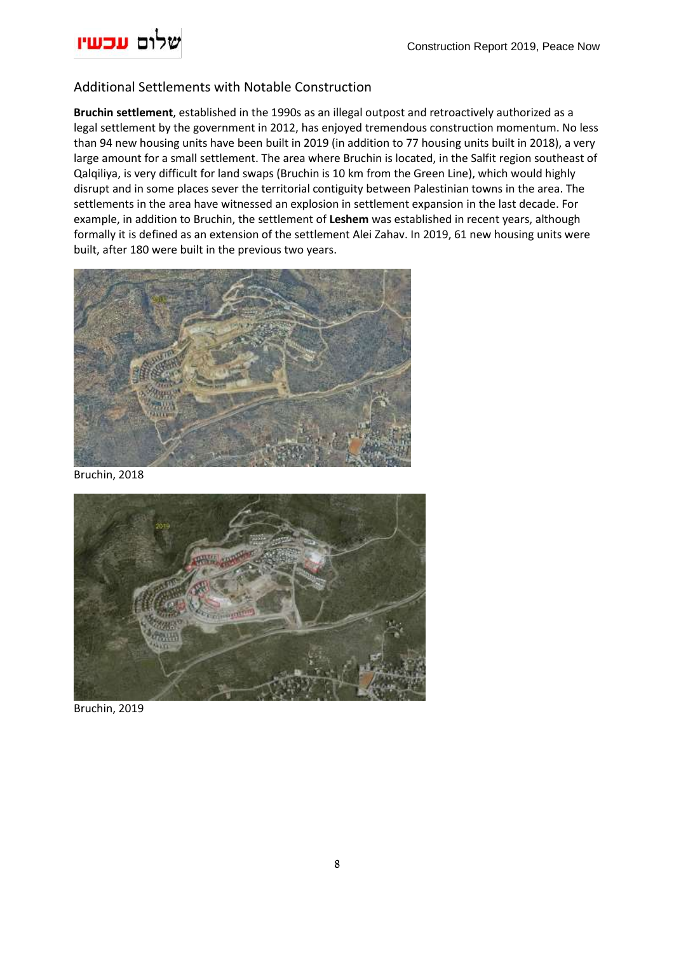

## <span id="page-7-0"></span>Additional Settlements with Notable Construction

**Bruchin settlement**, established in the 1990s as an illegal outpost and retroactively authorized as a legal settlement by the government in 2012, has enjoyed tremendous construction momentum. No less than 94 new housing units have been built in 2019 (in addition to 77 housing units built in 2018), a very large amount for a small settlement. The area where Bruchin is located, in the Salfit region southeast of Qalqiliya, is very difficult for land swaps (Bruchin is 10 km from the Green Line), which would highly disrupt and in some places sever the territorial contiguity between Palestinian towns in the area. The settlements in the area have witnessed an explosion in settlement expansion in the last decade. For example, in addition to Bruchin, the settlement of **Leshem** was established in recent years, although formally it is defined as an extension of the settlement Alei Zahav. In 2019, 61 new housing units were built, after 180 were built in the previous two years.



Bruchin, 2018



Bruchin, 2019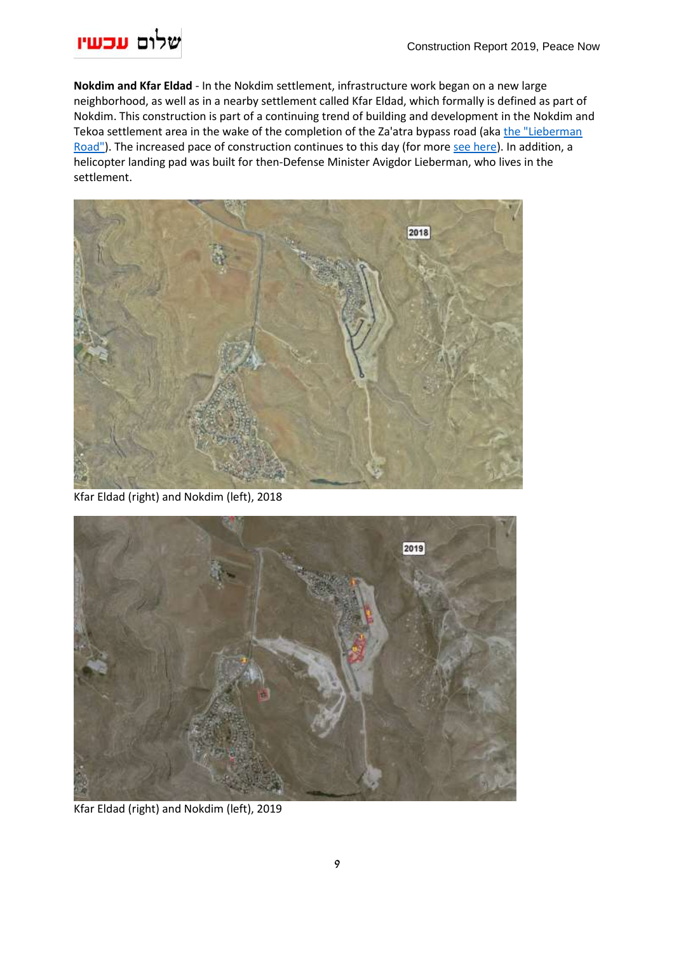

**Nokdim and Kfar Eldad** - In the Nokdim settlement, infrastructure work began on a new large neighborhood, as well as in a nearby settlement called Kfar Eldad, which formally is defined as part of Nokdim. This construction is part of a continuing trend of building and development in the Nokdim and Tekoa settlement area in the wake of the completion of the Za'atra bypass road (aka the "Lieberman [Road"\)](http://peacenow.org.il/wp-content/uploads/2016/01/leiberman-road-report.pdf). The increased pace of construction continues to this day (for mor[e see here\)](http://peacenow.org.il/wp-content/uploads/2016/01/leiberman-road-report.pdf). In addition, a helicopter landing pad was built for then-Defense Minister Avigdor Lieberman, who lives in the settlement.



Kfar Eldad (right) and Nokdim (left), 2018



Kfar Eldad (right) and Nokdim (left), 2019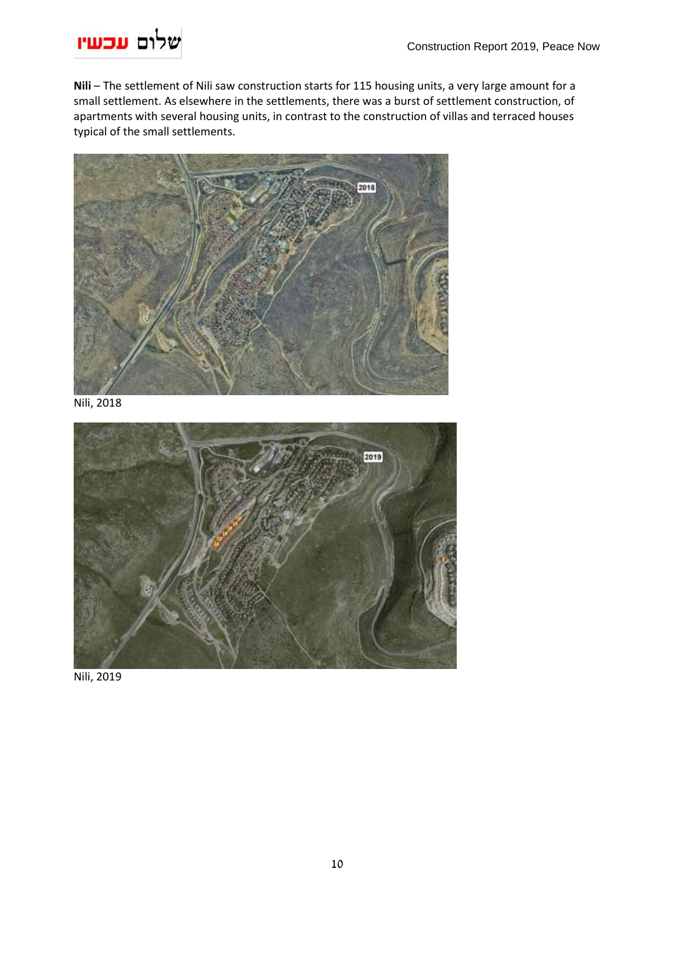

**Nili** – The settlement of Nili saw construction starts for 115 housing units, a very large amount for a small settlement. As elsewhere in the settlements, there was a burst of settlement construction, of apartments with several housing units, in contrast to the construction of villas and terraced houses typical of the small settlements.



Nili, 2018



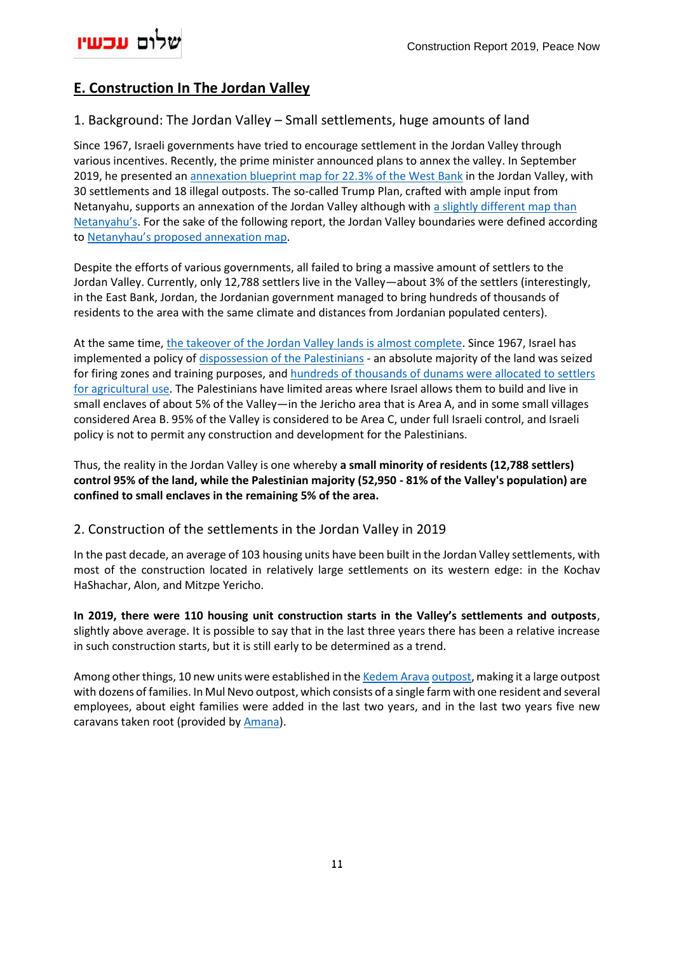

# <span id="page-10-0"></span>**E. Construction In The Jordan Valley**

### <span id="page-10-1"></span>1. Background: The Jordan Valley – Small settlements, huge amounts of land

Since 1967, Israeli governments have tried to encourage settlement in the Jordan Valley through various incentives. Recently, the prime minister announced plans to annex the valley. In September 2019, he presented an annexation blueprint map for [22.3% of the West Bank](https://peacenow.org.il/en/data-on-netanyahus-jordan-valley-annexation-map) in the Jordan Valley, with 30 settlements and 18 illegal outposts. The so-called Trump Plan, crafted with ample input from Netanyahu, supports an annexation of the Jordan Valley although with [a slightly different map than](https://peacenow.org.il/en/data-on-annexation-and-populated-land-swaps-under-the-trump-plan)  [Netanyahu's](https://peacenow.org.il/en/data-on-annexation-and-populated-land-swaps-under-the-trump-plan). For the sake of the following report, the Jordan Valley boundaries were defined according to [Netanyhau's proposed annexation map](https://peacenow.org.il/en/data-on-netanyahus-jordan-valley-annexation-map).

Despite the efforts of various governments, all failed to bring a massive amount of settlers to the Jordan Valley. Currently, only 12,788 settlers live in the Valley—about 3% of the settlers (interestingly, in the East Bank, Jordan, the Jordanian government managed to bring hundreds of thousands of residents to the area with the same climate and distances from Jordanian populated centers).

At the same time, [the takeover of the Jordan Valley](https://peacenow.org.il/en/jordan-valley) lands is almost complete. Since 1967, Israel has implemented a policy of [dispossession of the Palestinians](https://tv.social.org.il/en/activists-in-the-jordan-valley) - an absolute majority of the land was seized for firing zones and training purposes, and hundreds [of thousands of dunams were allocated to settlers](https://rhr.org.il/heb/wp-content/uploads/Kerem-Navot.pdf)  [for agricultural use.](https://rhr.org.il/heb/wp-content/uploads/Kerem-Navot.pdf) The Palestinians have limited areas where Israel allows them to build and live in small enclaves of about 5% of the Valley—in the Jericho area that is Area A, and in some small villages considered Area B. 95% of the Valley is considered to be Area C, under full Israeli control, and Israeli policy is not to permit any construction and development for the Palestinians.

Thus, the reality in the Jordan Valley is one whereby **a small minority of residents (12,788 settlers) control 95% of the land, while the Palestinian majority (52,950 - 81% of the Valley's population) are confined to small enclaves in the remaining 5% of the area.**

### <span id="page-10-2"></span>2. Construction of the settlements in the Jordan Valley in 2019

In the past decade, an average of 103 housing units have been built in the Jordan Valley settlements, with most of the construction located in relatively large settlements on its western edge: in the Kochav HaShachar, Alon, and Mitzpe Yericho.

**In 2019, there were 110 housing unit construction starts in the Valley's settlements and outposts**, slightly above average. It is possible to say that in the last three years there has been a relative increase in such construction starts, but it is still early to be determined as a trend.

Among other things, 10 new units were established in th[e Kedem Arava](https://peacenow.org.il/en/settlements/settlement1067-en) [outpost,](https://peacenow.org.il/kedem-arava) making it a large outpost with dozens of families. In Mul Nevo outpost, which consists of a single farm with one resident and several employees, about eight families were added in the last two years, and in the last two years five new caravans taken root (provided by [Amana\)](https://peacenow.org.il/en/unraveling-mechanism-behind-illegal-outposts).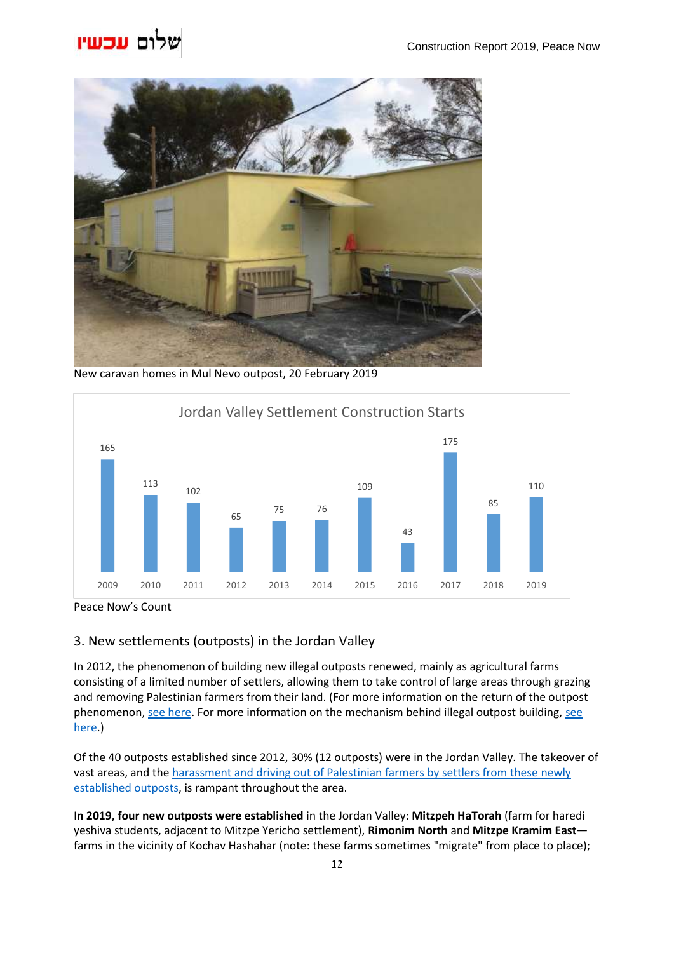

New caravan homes in Mul Nevo outpost, 20 February 2019



Peace Now's Count

## <span id="page-11-0"></span>3. New settlements (outposts) in the Jordan Valley

In 2012, the phenomenon of building new illegal outposts renewed, mainly as agricultural farms consisting of a limited number of settlers, allowing them to take control of large areas through grazing and removing Palestinian farmers from their land. (For more information on the return of the outpost phenomenon[, see here.](https://peacenow.org.il/en/return-of-the-outpost-method) For more information on the mechanism behind illegal outpost building, [see](https://peacenow.org.il/en/unraveling-mechanism-behind-illegal-outposts)  [here.](https://peacenow.org.il/en/unraveling-mechanism-behind-illegal-outposts))

Of the 40 outposts established since 2012, 30% (12 outposts) were in the Jordan Valley. The takeover of vast areas, and the harassment and driving out of Palestinian farmers by settlers from these newly [established outposts,](https://tv.social.org.il/en/activists-in-the-jordan-valley) is rampant throughout the area.

I**n 2019, four new outposts were established** in the Jordan Valley: **Mitzpeh HaTorah** (farm for haredi yeshiva students, adjacent to Mitzpe Yericho settlement), **Rimonim North** and **Mitzpe Kramim East** farms in the vicinity of Kochav Hashahar (note: these farms sometimes "migrate" from place to place);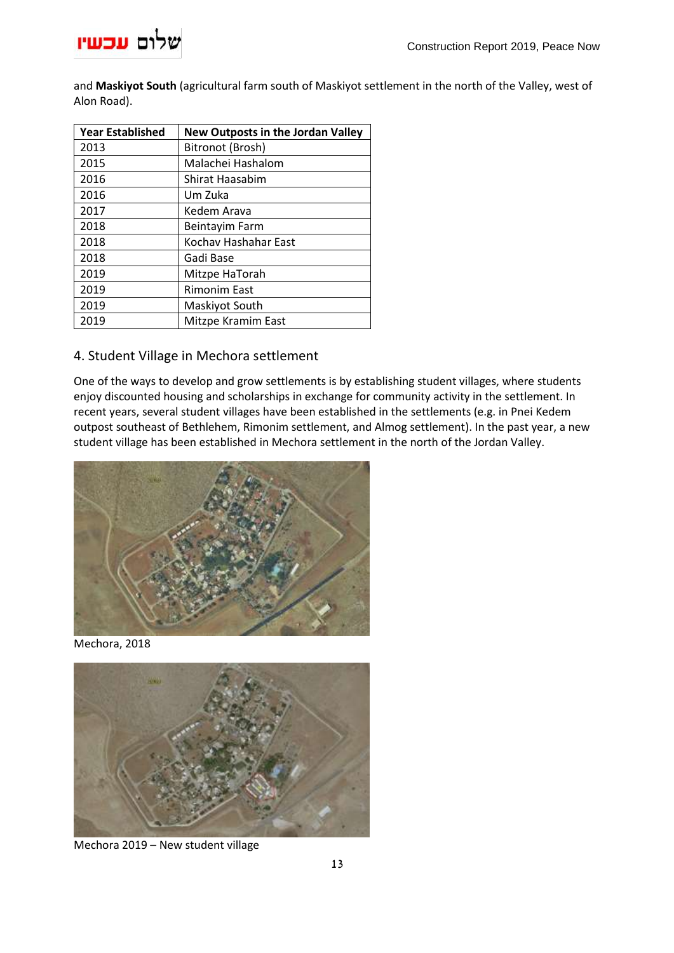

and **Maskiyot South** (agricultural farm south of Maskiyot settlement in the north of the Valley, west of Alon Road).

| <b>Year Established</b> | <b>New Outposts in the Jordan Valley</b> |
|-------------------------|------------------------------------------|
| 2013                    | Bitronot (Brosh)                         |
| 2015                    | Malachei Hashalom                        |
| 2016                    | Shirat Haasabim                          |
| 2016                    | Um Zuka                                  |
| 2017                    | Kedem Arava                              |
| 2018                    | Beintayim Farm                           |
| 2018                    | Kochav Hashahar East                     |
| 2018                    | Gadi Base                                |
| 2019                    | Mitzpe HaTorah                           |
| 2019                    | <b>Rimonim East</b>                      |
| 2019                    | Maskiyot South                           |
| 2019                    | Mitzpe Kramim East                       |

### <span id="page-12-0"></span>4. Student Village in Mechora settlement

One of the ways to develop and grow settlements is by establishing student villages, where students enjoy discounted housing and scholarships in exchange for community activity in the settlement. In recent years, several student villages have been established in the settlements (e.g. in Pnei Kedem outpost southeast of Bethlehem, Rimonim settlement, and Almog settlement). In the past year, a new student village has been established in Mechora settlement in the north of the Jordan Valley.



Mechora, 2018



Mechora 2019 – New student village